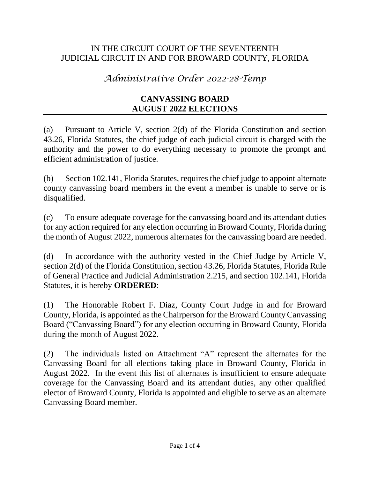## IN THE CIRCUIT COURT OF THE SEVENTEENTH JUDICIAL CIRCUIT IN AND FOR BROWARD COUNTY, FLORIDA

## *Administrative Order 2022-28-Temp*

## **CANVASSING BOARD AUGUST 2022 ELECTIONS**

(a) Pursuant to Article V, section 2(d) of the Florida Constitution and section 43.26, Florida Statutes, the chief judge of each judicial circuit is charged with the authority and the power to do everything necessary to promote the prompt and efficient administration of justice.

(b) Section 102.141, Florida Statutes, requires the chief judge to appoint alternate county canvassing board members in the event a member is unable to serve or is disqualified.

(c) To ensure adequate coverage for the canvassing board and its attendant duties for any action required for any election occurring in Broward County, Florida during the month of August 2022, numerous alternates for the canvassing board are needed.

(d) In accordance with the authority vested in the Chief Judge by Article V, section 2(d) of the Florida Constitution, section 43.26, Florida Statutes, Florida Rule of General Practice and Judicial Administration 2.215, and section 102.141, Florida Statutes, it is hereby **ORDERED**:

(1) The Honorable Robert F. Diaz, County Court Judge in and for Broward County, Florida, is appointed as the Chairperson for the Broward County Canvassing Board ("Canvassing Board") for any election occurring in Broward County, Florida during the month of August 2022.

(2) The individuals listed on Attachment "A" represent the alternates for the Canvassing Board for all elections taking place in Broward County, Florida in August 2022. In the event this list of alternates is insufficient to ensure adequate coverage for the Canvassing Board and its attendant duties, any other qualified elector of Broward County, Florida is appointed and eligible to serve as an alternate Canvassing Board member.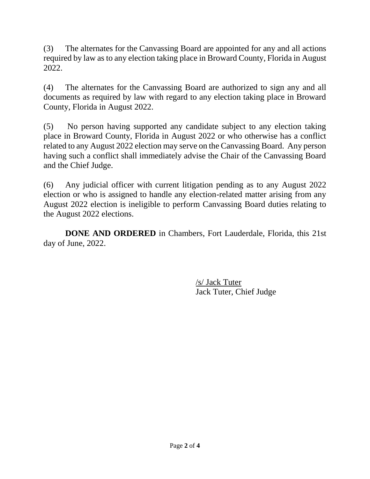(3) The alternates for the Canvassing Board are appointed for any and all actions required by law as to any election taking place in Broward County, Florida in August 2022.

(4) The alternates for the Canvassing Board are authorized to sign any and all documents as required by law with regard to any election taking place in Broward County, Florida in August 2022.

(5) No person having supported any candidate subject to any election taking place in Broward County, Florida in August 2022 or who otherwise has a conflict related to any August 2022 election may serve on the Canvassing Board. Any person having such a conflict shall immediately advise the Chair of the Canvassing Board and the Chief Judge.

(6) Any judicial officer with current litigation pending as to any August 2022 election or who is assigned to handle any election-related matter arising from any August 2022 election is ineligible to perform Canvassing Board duties relating to the August 2022 elections.

**DONE AND ORDERED** in Chambers, Fort Lauderdale, Florida, this 21st day of June, 2022.

> /s/ Jack Tuter Jack Tuter, Chief Judge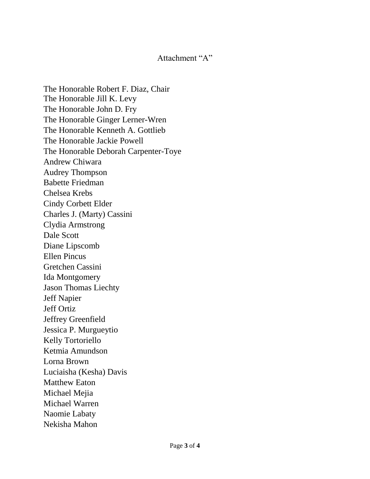## Attachment "A"

The Honorable Robert F. Diaz, Chair The Honorable Jill K. Levy The Honorable John D. Fry The Honorable Ginger Lerner-Wren The Honorable Kenneth A. Gottlieb The Honorable Jackie Powell The Honorable Deborah Carpenter-Toye Andrew Chiwara Audrey Thompson Babette Friedman Chelsea Krebs Cindy Corbett Elder Charles J. (Marty) Cassini Clydia Armstrong Dale Scott Diane Lipscomb Ellen Pincus Gretchen Cassini Ida Montgomery Jason Thomas Liechty Jeff Napier Jeff Ortiz Jeffrey Greenfield Jessica P. Murgueytio Kelly Tortoriello Ketmia Amundson Lorna Brown Luciaisha (Kesha) Davis Matthew Eaton Michael Mejia Michael Warren Naomie Labaty Nekisha Mahon